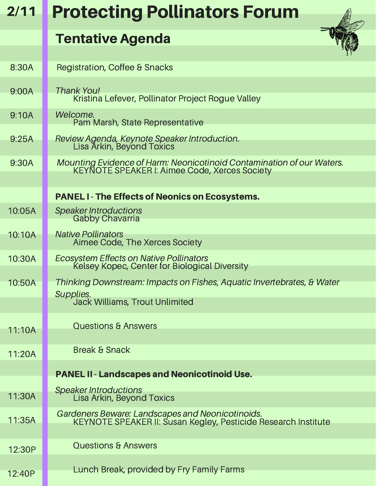| 2/11   | <b>Protecting Pollinators Forum</b>                                                                                    |
|--------|------------------------------------------------------------------------------------------------------------------------|
|        | <b>Tentative Agenda</b>                                                                                                |
| 8:30A  | <b>Registration, Coffee &amp; Snacks</b>                                                                               |
| 9:00A  | Thank You!<br>Kristina Lefever, Pollinator Project Rogue Valley                                                        |
| 9:10A  | Welcome.<br>Pam Marsh, State Representative                                                                            |
| 9:25A  | Review Agenda, Keynote Speaker Introduction.<br>Lisa Arkin, Beyond Toxics                                              |
| 9:30A  | Mounting Evidence of Harm: Neonicotinoid Contamination of our Waters.<br>KEYNOTE SPEAKER I: Aimee Code, Xerces Society |
|        | <b>PANEL I-The Effects of Neonics on Ecosystems.</b>                                                                   |
| 10:05A | Speaker Introductions<br>Gabby Chavarria                                                                               |
| 10:10A | <b>Native Pollinators</b><br>Aimee Code, The Xerces Society                                                            |
| 10:30A | Ecosystem Effects on Native Pollinators<br>Kelsey Kopec, Center for Biological Diversity                               |
| 10:50A | Thinking Downstream: Impacts on Fishes, Aquatic Invertebrates, & Water                                                 |
|        | Supplies.<br><b>Jack Williams, Trout Unlimited</b>                                                                     |
| 11:10A | <b>Questions &amp; Answers</b>                                                                                         |
| 11:20A | <b>Break &amp; Snack</b>                                                                                               |
|        | <b>PANEL II - Landscapes and Neonicotinoid Use.</b>                                                                    |
| 11:30A | Speaker Introductions<br>Lisa Arkin, Beyond Toxics                                                                     |
| 11:35A | Gardeners Beware: Landscapes and Neonicotinoids.<br>KEYNOTE SPEAKER II: Susan Kegley, Pesticide Research Institute     |
| 12:30P | <b>Questions &amp; Answers</b>                                                                                         |
| 12:40P | Lunch Break, provided by Fry Family Farms                                                                              |